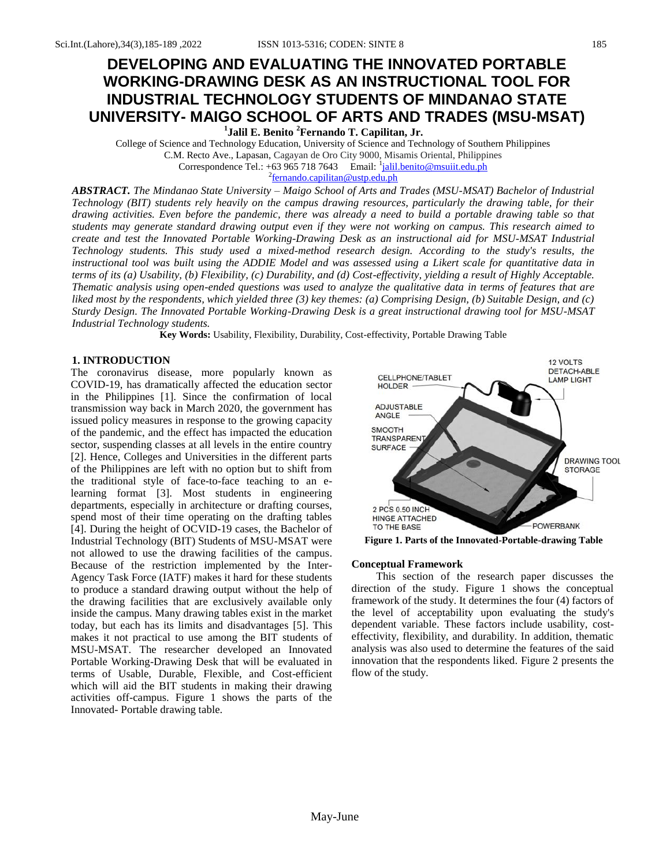# **DEVELOPING AND EVALUATING THE INNOVATED PORTABLE WORKING-DRAWING DESK AS AN INSTRUCTIONAL TOOL FOR INDUSTRIAL TECHNOLOGY STUDENTS OF MINDANAO STATE UNIVERSITY- MAIGO SCHOOL OF ARTS AND TRADES (MSU-MSAT)**

**1 Jalil E. Benito <sup>2</sup>Fernando T. Capilitan, Jr.**

College of Science and Technology Education, University of Science and Technology of Southern Philippines C.M. Recto Ave., Lapasan, Cagayan de Oro City 9000, Misamis Oriental, Philippines Correspondence Tel.: +63 965 718 7643 Email: <sup>1</sup>jalil.benito@msuiit.edu.ph

<sup>2</sup> <u>[fernando.capilitan@ustp.edu.ph](mailto:fernando.capilitan@ustp.edu.ph)</u>

*ABSTRACT. The Mindanao State University – Maigo School of Arts and Trades (MSU-MSAT) Bachelor of Industrial Technology (BIT) students rely heavily on the campus drawing resources, particularly the drawing table, for their drawing activities. Even before the pandemic, there was already a need to build a portable drawing table so that students may generate standard drawing output even if they were not working on campus. This research aimed to create and test the Innovated Portable Working-Drawing Desk as an instructional aid for MSU-MSAT Industrial Technology students. This study used a mixed-method research design. According to the study's results, the instructional tool was built using the ADDIE Model and was assessed using a Likert scale for quantitative data in terms of its (a) Usability, (b) Flexibility, (c) Durability, and (d) Cost-effectivity, yielding a result of Highly Acceptable. Thematic analysis using open-ended questions was used to analyze the qualitative data in terms of features that are liked most by the respondents, which yielded three (3) key themes: (a) Comprising Design, (b) Suitable Design, and (c) Sturdy Design. The Innovated Portable Working-Drawing Desk is a great instructional drawing tool for MSU-MSAT Industrial Technology students.*

**Key Words:** Usability, Flexibility, Durability, Cost-effectivity, Portable Drawing Table

# **1. INTRODUCTION**

The coronavirus disease, more popularly known as COVID-19, has dramatically affected the education sector in the Philippines [1]. Since the confirmation of local transmission way back in March 2020, the government has issued policy measures in response to the growing capacity of the pandemic, and the effect has impacted the education sector, suspending classes at all levels in the entire country [2]. Hence, Colleges and Universities in the different parts of the Philippines are left with no option but to shift from the traditional style of face-to-face teaching to an elearning format [3]. Most students in engineering departments, especially in architecture or drafting courses, spend most of their time operating on the drafting tables [4]. During the height of OCVID-19 cases, the Bachelor of Industrial Technology (BIT) Students of MSU-MSAT were not allowed to use the drawing facilities of the campus. Because of the restriction implemented by the Inter-Agency Task Force (IATF) makes it hard for these students to produce a standard drawing output without the help of the drawing facilities that are exclusively available only inside the campus. Many drawing tables exist in the market today, but each has its limits and disadvantages [5]. This makes it not practical to use among the BIT students of MSU-MSAT. The researcher developed an Innovated Portable Working-Drawing Desk that will be evaluated in terms of Usable, Durable, Flexible, and Cost-efficient which will aid the BIT students in making their drawing activities off-campus. Figure 1 shows the parts of the Innovated- Portable drawing table.



**Figure 1. Parts of the Innovated-Portable-drawing Table**

#### **Conceptual Framework**

This section of the research paper discusses the direction of the study. Figure 1 shows the conceptual framework of the study. It determines the four (4) factors of the level of acceptability upon evaluating the study's dependent variable. These factors include usability, costeffectivity, flexibility, and durability. In addition, thematic analysis was also used to determine the features of the said innovation that the respondents liked. Figure 2 presents the flow of the study.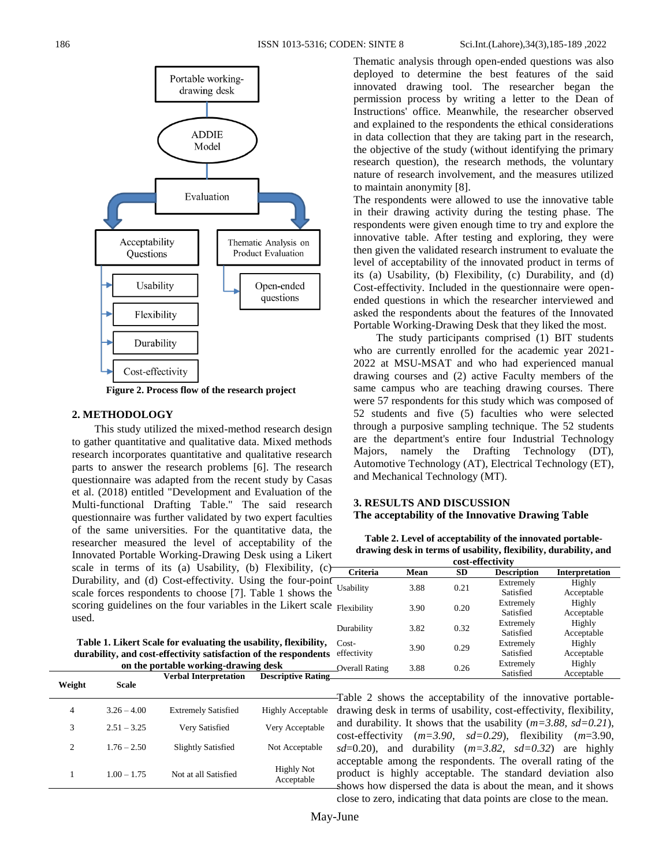

**Figure 2. Process flow of the research project**

#### **2. METHODOLOGY**

This study utilized the mixed-method research design to gather quantitative and qualitative data. Mixed methods research incorporates quantitative and qualitative research parts to answer the research problems [6]. The research questionnaire was adapted from the recent study by Casas et al. (2018) entitled "Development and Evaluation of the Multi-functional Drafting Table." The said research questionnaire was further validated by two expert faculties of the same universities. For the quantitative data, the researcher measured the level of acceptability of the Innovated Portable Working-Drawing Desk using a Likert scale in terms of its (a) Usability, (b) Flexibility,  $(c)$ Durability, and (d) Cost-effectivity. Using the four-point scale forces respondents to choose [7]. Table 1 shows the scoring guidelines on the four variables in the Likert scale  $F_{\text{He}}$ used.

| Table 1. Likert Scale for evaluating the usability, flexibility, Co. |    |
|----------------------------------------------------------------------|----|
| durability, and cost-effectivity satisfaction of the respondents eff |    |
| on the portable working-drawing desk                                 | Ov |

| Weight | Scale         | <b>Verbal Interpretation</b> | <b>Descriptive Rating</b>       |
|--------|---------------|------------------------------|---------------------------------|
| 4      | $3.26 - 4.00$ | <b>Extremely Satisfied</b>   | Highly Acceptable               |
| 3      | $2.51 - 3.25$ | Very Satisfied               | Very Acceptable                 |
| 2      | $1.76 - 2.50$ | <b>Slightly Satisfied</b>    | Not Acceptable                  |
| 1      | $1.00 - 1.75$ | Not at all Satisfied         | <b>Highly Not</b><br>Acceptable |

Thematic analysis through open-ended questions was also deployed to determine the best features of the said innovated drawing tool. The researcher began the permission process by writing a letter to the Dean of Instructions' office. Meanwhile, the researcher observed and explained to the respondents the ethical considerations in data collection that they are taking part in the research, the objective of the study (without identifying the primary research question), the research methods, the voluntary nature of research involvement, and the measures utilized to maintain anonymity [8].

The respondents were allowed to use the innovative table in their drawing activity during the testing phase. The respondents were given enough time to try and explore the innovative table. After testing and exploring, they were then given the validated research instrument to evaluate the level of acceptability of the innovated product in terms of its (a) Usability, (b) Flexibility, (c) Durability, and (d) Cost-effectivity. Included in the questionnaire were openended questions in which the researcher interviewed and asked the respondents about the features of the Innovated Portable Working-Drawing Desk that they liked the most.

The study participants comprised (1) BIT students who are currently enrolled for the academic year 2021- 2022 at MSU-MSAT and who had experienced manual drawing courses and (2) active Faculty members of the same campus who are teaching drawing courses. There were 57 respondents for this study which was composed of 52 students and five (5) faculties who were selected through a purposive sampling technique. The 52 students are the department's entire four Industrial Technology Majors, namely the Drafting Technology (DT), Automotive Technology (AT), Electrical Technology (ET), and Mechanical Technology (MT).

## **3. RESULTS AND DISCUSSION The acceptability of the Innovative Drawing Table**

|  | Table 2. Level of acceptability of the innovated portable-       |  |
|--|------------------------------------------------------------------|--|
|  | drawing desk in terms of usability, flexibility, durability, and |  |

| cost-effectivity      |      |      |                        |                       |  |
|-----------------------|------|------|------------------------|-----------------------|--|
| Criteria              | Mean | SD   | <b>Description</b>     | <b>Interpretation</b> |  |
| Usability             | 3.88 | 0.21 | Extremely<br>Satisfied | Highly<br>Acceptable  |  |
| Flexibility           | 3.90 | 0.20 | Extremely<br>Satisfied | Highly<br>Acceptable  |  |
| Durability            | 3.82 | 0.32 | Extremely<br>Satisfied | Highly<br>Acceptable  |  |
| Cost-<br>effectivity  | 3.90 | 0.29 | Extremely<br>Satisfied | Highly<br>Acceptable  |  |
| <b>Overall Rating</b> | 3.88 | 0.26 | Extremely<br>Satisfied | Highly<br>Acceptable  |  |

Table 2 shows the acceptability of the innovative portabledrawing desk in terms of usability, cost-effectivity, flexibility, and durability. It shows that the usability (*m=3.88, sd=0.21*), cost-effectivity (*m=3.90, sd=0.29*), flexibility (*m*=3.90,  $sd=0.20$ ), and durability  $(m=3.82, sd=0.32)$  are highly acceptable among the respondents. The overall rating of the product is highly acceptable. The standard deviation also shows how dispersed the data is about the mean, and it shows close to zero, indicating that data points are close to the mean.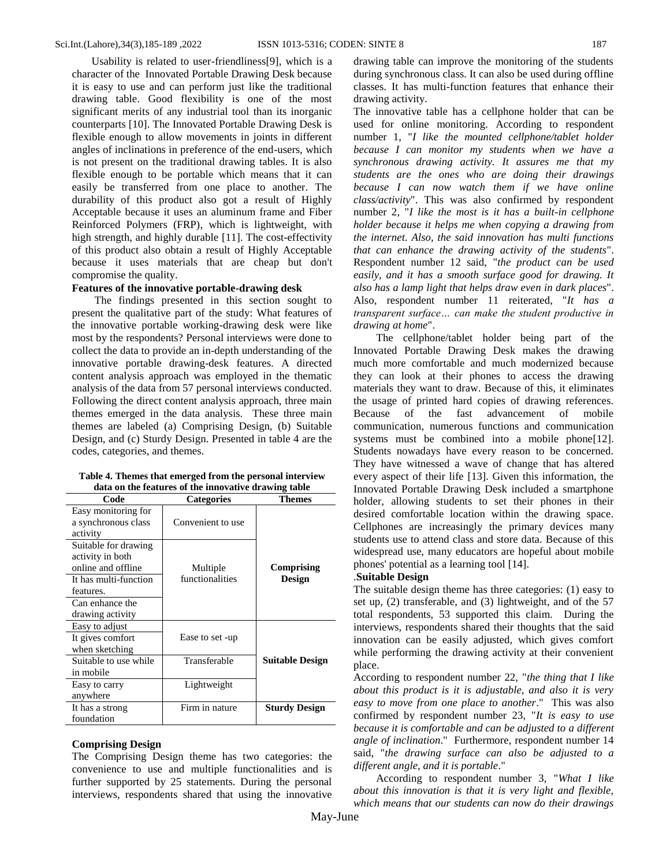Usability is related to user-friendliness[9], which is a character of the Innovated Portable Drawing Desk because it is easy to use and can perform just like the traditional drawing table. Good flexibility is one of the most significant merits of any industrial tool than its inorganic counterparts [10]. The Innovated Portable Drawing Desk is flexible enough to allow movements in joints in different angles of inclinations in preference of the end-users, which is not present on the traditional drawing tables. It is also flexible enough to be portable which means that it can easily be transferred from one place to another. The durability of this product also got a result of Highly Acceptable because it uses an aluminum frame and Fiber Reinforced Polymers (FRP), which is lightweight, with high strength, and highly durable [11]. The cost-effectivity of this product also obtain a result of Highly Acceptable because it uses materials that are cheap but don't compromise the quality.

## **Features of the innovative portable-drawing desk**

The findings presented in this section sought to present the qualitative part of the study: What features of the innovative portable working-drawing desk were like most by the respondents? Personal interviews were done to collect the data to provide an in-depth understanding of the innovative portable drawing-desk features. A directed content analysis approach was employed in the thematic analysis of the data from 57 personal interviews conducted. Following the direct content analysis approach, three main themes emerged in the data analysis. These three main themes are labeled (a) Comprising Design, (b) Suitable Design, and (c) Sturdy Design. Presented in table 4 are the codes, categories, and themes.

| Table 4. Themes that emerged from the personal interview |
|----------------------------------------------------------|
| data on the features of the innovative drawing table     |

| Code                                                           | <b>Categories</b> | Themes                 |
|----------------------------------------------------------------|-------------------|------------------------|
| Easy monitoring for<br>a synchronous class<br>activity         | Convenient to use |                        |
| Suitable for drawing<br>activity in both<br>online and offline | Multiple          | Comprising             |
| It has multi-function<br>features.                             | functionalities   | Design                 |
| Can enhance the<br>drawing activity                            |                   |                        |
| Easy to adjust                                                 |                   |                        |
| It gives comfort<br>when sketching                             | Ease to set -up   |                        |
| Suitable to use while<br>in mobile                             | Transferable      | <b>Suitable Design</b> |
| Easy to carry<br>anywhere                                      | Lightweight       |                        |
| It has a strong<br>foundation                                  | Firm in nature    | <b>Sturdy Design</b>   |

#### **Comprising Design**

The Comprising Design theme has two categories: the convenience to use and multiple functionalities and is further supported by 25 statements. During the personal interviews, respondents shared that using the innovative

drawing table can improve the monitoring of the students during synchronous class. It can also be used during offline classes. It has multi-function features that enhance their drawing activity.

The innovative table has a cellphone holder that can be used for online monitoring. According to respondent number 1, "*I like the mounted cellphone/tablet holder because I can monitor my students when we have a synchronous drawing activity. It assures me that my students are the ones who are doing their drawings because I can now watch them if we have online class/activity*". This was also confirmed by respondent number 2, "*I like the most is it has a built-in cellphone holder because it helps me when copying a drawing from the internet. Also, the said innovation has multi functions that can enhance the drawing activity of the students*". Respondent number 12 said, "*the product can be used easily, and it has a smooth surface good for drawing. It also has a lamp light that helps draw even in dark places*". Also, respondent number 11 reiterated, "*It has a transparent surface… can make the student productive in drawing at home*".

The cellphone/tablet holder being part of the Innovated Portable Drawing Desk makes the drawing much more comfortable and much modernized because they can look at their phones to access the drawing materials they want to draw. Because of this, it eliminates the usage of printed hard copies of drawing references. Because of the fast advancement of mobile communication, numerous functions and communication systems must be combined into a mobile phone[12]. Students nowadays have every reason to be concerned. They have witnessed a wave of change that has altered every aspect of their life [13]. Given this information, the Innovated Portable Drawing Desk included a smartphone holder, allowing students to set their phones in their desired comfortable location within the drawing space. Cellphones are increasingly the primary devices many students use to attend class and store data. Because of this widespread use, many educators are hopeful about mobile phones' potential as a learning tool [14].

#### .**Suitable Design**

The suitable design theme has three categories: (1) easy to set up, (2) transferable, and (3) lightweight, and of the 57 total respondents, 53 supported this claim. During the interviews, respondents shared their thoughts that the said innovation can be easily adjusted, which gives comfort while performing the drawing activity at their convenient place.

According to respondent number 22, "*the thing that I like about this product is it is adjustable, and also it is very easy to move from one place to another*." This was also confirmed by respondent number 23, "*It is easy to use because it is comfortable and can be adjusted to a different angle of inclination*." Furthermore, respondent number 14 said, "*the drawing surface can also be adjusted to a different angle, and it is portable*."

According to respondent number 3, "*What I like about this innovation is that it is very light and flexible, which means that our students can now do their drawings*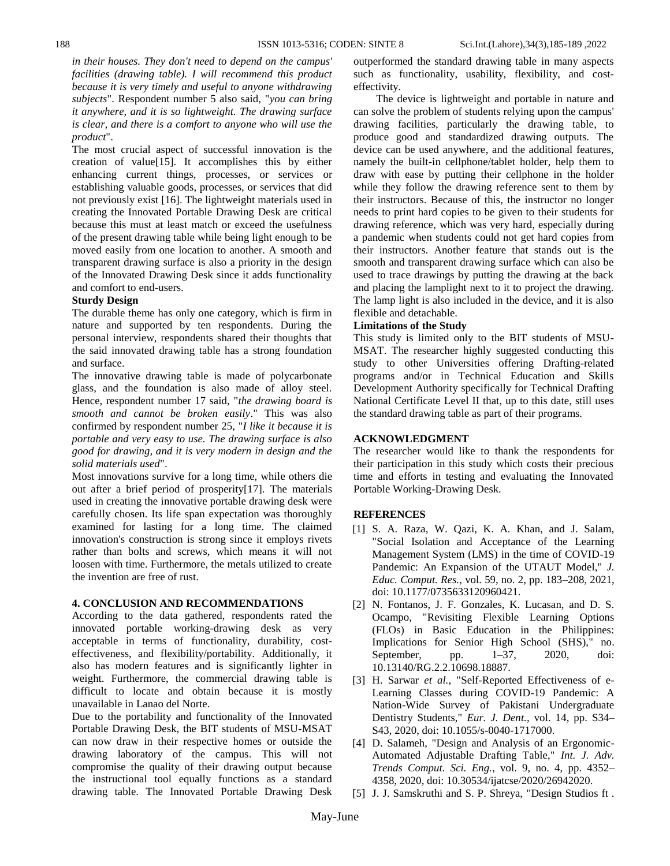*in their houses. They don't need to depend on the campus' facilities (drawing table). I will recommend this product because it is very timely and useful to anyone withdrawing subjects*". Respondent number 5 also said, "*you can bring it anywhere, and it is so lightweight. The drawing surface is clear, and there is a comfort to anyone who will use the product*".

The most crucial aspect of successful innovation is the creation of value[15]. It accomplishes this by either enhancing current things, processes, or services or establishing valuable goods, processes, or services that did not previously exist [16]. The lightweight materials used in creating the Innovated Portable Drawing Desk are critical because this must at least match or exceed the usefulness of the present drawing table while being light enough to be moved easily from one location to another. A smooth and transparent drawing surface is also a priority in the design of the Innovated Drawing Desk since it adds functionality and comfort to end-users.

#### **Sturdy Design**

The durable theme has only one category, which is firm in nature and supported by ten respondents. During the personal interview, respondents shared their thoughts that the said innovated drawing table has a strong foundation and surface.

The innovative drawing table is made of polycarbonate glass, and the foundation is also made of alloy steel. Hence, respondent number 17 said, "*the drawing board is smooth and cannot be broken easily*." This was also confirmed by respondent number 25, "*I like it because it is portable and very easy to use. The drawing surface is also good for drawing, and it is very modern in design and the solid materials used*".

Most innovations survive for a long time, while others die out after a brief period of prosperity[17]. The materials used in creating the innovative portable drawing desk were carefully chosen. Its life span expectation was thoroughly examined for lasting for a long time. The claimed innovation's construction is strong since it employs rivets rather than bolts and screws, which means it will not loosen with time. Furthermore, the metals utilized to create the invention are free of rust.

#### **4. CONCLUSION AND RECOMMENDATIONS**

According to the data gathered, respondents rated the innovated portable working-drawing desk as very acceptable in terms of functionality, durability, costeffectiveness, and flexibility/portability. Additionally, it also has modern features and is significantly lighter in weight. Furthermore, the commercial drawing table is difficult to locate and obtain because it is mostly unavailable in Lanao del Norte.

Due to the portability and functionality of the Innovated Portable Drawing Desk, the BIT students of MSU-MSAT can now draw in their respective homes or outside the drawing laboratory of the campus. This will not compromise the quality of their drawing output because the instructional tool equally functions as a standard drawing table. The Innovated Portable Drawing Desk

outperformed the standard drawing table in many aspects such as functionality, usability, flexibility, and costeffectivity.

The device is lightweight and portable in nature and can solve the problem of students relying upon the campus' drawing facilities, particularly the drawing table, to produce good and standardized drawing outputs. The device can be used anywhere, and the additional features, namely the built-in cellphone/tablet holder, help them to draw with ease by putting their cellphone in the holder while they follow the drawing reference sent to them by their instructors. Because of this, the instructor no longer needs to print hard copies to be given to their students for drawing reference, which was very hard, especially during a pandemic when students could not get hard copies from their instructors. Another feature that stands out is the smooth and transparent drawing surface which can also be used to trace drawings by putting the drawing at the back and placing the lamplight next to it to project the drawing. The lamp light is also included in the device, and it is also flexible and detachable.

## **Limitations of the Study**

This study is limited only to the BIT students of MSU-MSAT. The researcher highly suggested conducting this study to other Universities offering Drafting-related programs and/or in Technical Education and Skills Development Authority specifically for Technical Drafting National Certificate Level II that, up to this date, still uses the standard drawing table as part of their programs.

# **ACKNOWLEDGMENT**

The researcher would like to thank the respondents for their participation in this study which costs their precious time and efforts in testing and evaluating the Innovated Portable Working-Drawing Desk.

#### **REFERENCES**

- [1] S. A. Raza, W. Qazi, K. A. Khan, and J. Salam, "Social Isolation and Acceptance of the Learning Management System (LMS) in the time of COVID-19 Pandemic: An Expansion of the UTAUT Model," *J. Educ. Comput. Res.*, vol. 59, no. 2, pp. 183–208, 2021, doi: 10.1177/0735633120960421.
- [2] N. Fontanos, J. F. Gonzales, K. Lucasan, and D. S. Ocampo, "Revisiting Flexible Learning Options (FLOs) in Basic Education in the Philippines: Implications for Senior High School (SHS)," no. September, pp. 1–37, 2020, doi: 10.13140/RG.2.2.10698.18887.
- [3] H. Sarwar *et al.*, "Self-Reported Effectiveness of e-Learning Classes during COVID-19 Pandemic: A Nation-Wide Survey of Pakistani Undergraduate Dentistry Students," *Eur. J. Dent.*, vol. 14, pp. S34– S43, 2020, doi: 10.1055/s-0040-1717000.
- [4] D. Salameh, "Design and Analysis of an Ergonomic-Automated Adjustable Drafting Table," *Int. J. Adv. Trends Comput. Sci. Eng.*, vol. 9, no. 4, pp. 4352– 4358, 2020, doi: 10.30534/ijatcse/2020/26942020.
- [5] J. J. Samskruthi and S. P. Shreya, "Design Studios ft .